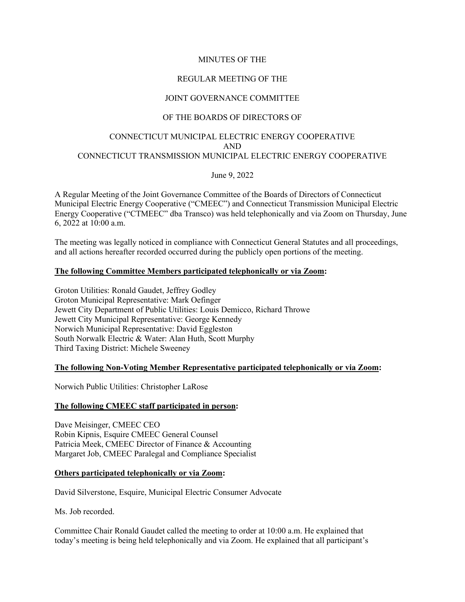# MINUTES OF THE

# REGULAR MEETING OF THE

# JOINT GOVERNANCE COMMITTEE

# OF THE BOARDS OF DIRECTORS OF

# CONNECTICUT MUNICIPAL ELECTRIC ENERGY COOPERATIVE AND CONNECTICUT TRANSMISSION MUNICIPAL ELECTRIC ENERGY COOPERATIVE

#### June 9, 2022

A Regular Meeting of the Joint Governance Committee of the Boards of Directors of Connecticut Municipal Electric Energy Cooperative ("CMEEC") and Connecticut Transmission Municipal Electric Energy Cooperative ("CTMEEC" dba Transco) was held telephonically and via Zoom on Thursday, June 6, 2022 at 10:00 a.m.

The meeting was legally noticed in compliance with Connecticut General Statutes and all proceedings, and all actions hereafter recorded occurred during the publicly open portions of the meeting.

#### **The following Committee Members participated telephonically or via Zoom:**

Groton Utilities: Ronald Gaudet, Jeffrey Godley Groton Municipal Representative: Mark Oefinger Jewett City Department of Public Utilities: Louis Demicco, Richard Throwe Jewett City Municipal Representative: George Kennedy Norwich Municipal Representative: David Eggleston South Norwalk Electric & Water: Alan Huth, Scott Murphy Third Taxing District: Michele Sweeney

#### **The following Non-Voting Member Representative participated telephonically or via Zoom:**

Norwich Public Utilities: Christopher LaRose

#### **The following CMEEC staff participated in person:**

Dave Meisinger, CMEEC CEO Robin Kipnis, Esquire CMEEC General Counsel Patricia Meek, CMEEC Director of Finance & Accounting Margaret Job, CMEEC Paralegal and Compliance Specialist

#### **Others participated telephonically or via Zoom:**

David Silverstone, Esquire, Municipal Electric Consumer Advocate

Ms. Job recorded.

Committee Chair Ronald Gaudet called the meeting to order at 10:00 a.m. He explained that today's meeting is being held telephonically and via Zoom. He explained that all participant's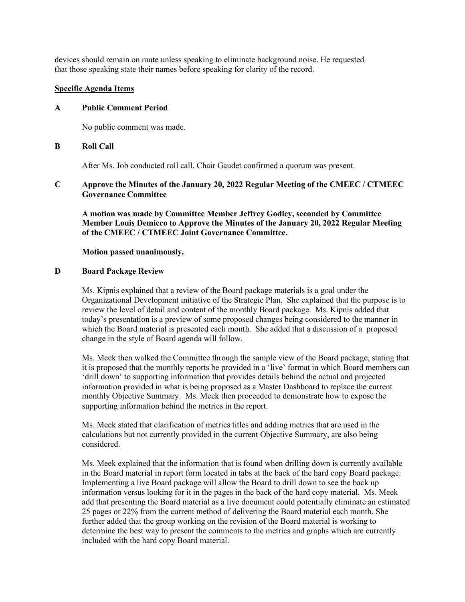devices should remain on mute unless speaking to eliminate background noise. He requested that those speaking state their names before speaking for clarity of the record.

# **Specific Agenda Items**

## **A Public Comment Period**

No public comment was made.

## **B Roll Call**

After Ms. Job conducted roll call, Chair Gaudet confirmed a quorum was present.

# **C Approve the Minutes of the January 20, 2022 Regular Meeting of the CMEEC / CTMEEC Governance Committee**

**A motion was made by Committee Member Jeffrey Godley, seconded by Committee Member Louis Demicco to Approve the Minutes of the January 20, 2022 Regular Meeting of the CMEEC / CTMEEC Joint Governance Committee.**

#### **Motion passed unanimously.**

## **D Board Package Review**

Ms. Kipnis explained that a review of the Board package materials is a goal under the Organizational Development initiative of the Strategic Plan. She explained that the purpose is to review the level of detail and content of the monthly Board package. Ms. Kipnis added that today's presentation is a preview of some proposed changes being considered to the manner in which the Board material is presented each month. She added that a discussion of a proposed change in the style of Board agenda will follow.

Ms. Meek then walked the Committee through the sample view of the Board package, stating that it is proposed that the monthly reports be provided in a 'live' format in which Board members can 'drill down' to supporting information that provides details behind the actual and projected information provided in what is being proposed as a Master Dashboard to replace the current monthly Objective Summary. Ms. Meek then proceeded to demonstrate how to expose the supporting information behind the metrics in the report.

Ms. Meek stated that clarification of metrics titles and adding metrics that are used in the calculations but not currently provided in the current Objective Summary, are also being considered.

Ms. Meek explained that the information that is found when drilling down is currently available in the Board material in report form located in tabs at the back of the hard copy Board package. Implementing a live Board package will allow the Board to drill down to see the back up information versus looking for it in the pages in the back of the hard copy material. Ms. Meek add that presenting the Board material as a live document could potentially eliminate an estimated 25 pages or 22% from the current method of delivering the Board material each month. She further added that the group working on the revision of the Board material is working to determine the best way to present the comments to the metrics and graphs which are currently included with the hard copy Board material.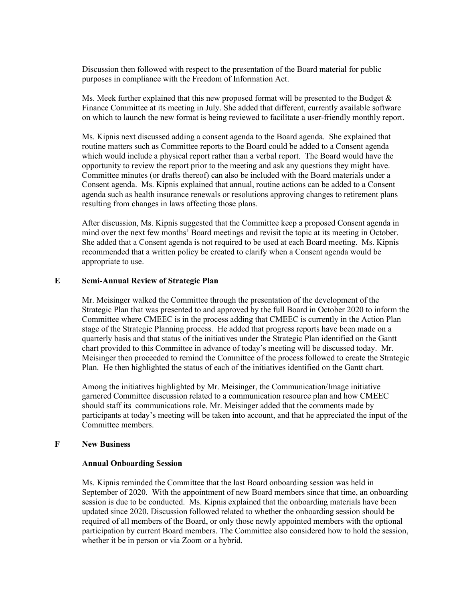Discussion then followed with respect to the presentation of the Board material for public purposes in compliance with the Freedom of Information Act.

Ms. Meek further explained that this new proposed format will be presented to the Budget  $\&$ Finance Committee at its meeting in July. She added that different, currently available software on which to launch the new format is being reviewed to facilitate a user-friendly monthly report.

Ms. Kipnis next discussed adding a consent agenda to the Board agenda. She explained that routine matters such as Committee reports to the Board could be added to a Consent agenda which would include a physical report rather than a verbal report. The Board would have the opportunity to review the report prior to the meeting and ask any questions they might have. Committee minutes (or drafts thereof) can also be included with the Board materials under a Consent agenda. Ms. Kipnis explained that annual, routine actions can be added to a Consent agenda such as health insurance renewals or resolutions approving changes to retirement plans resulting from changes in laws affecting those plans.

After discussion, Ms. Kipnis suggested that the Committee keep a proposed Consent agenda in mind over the next few months' Board meetings and revisit the topic at its meeting in October. She added that a Consent agenda is not required to be used at each Board meeting. Ms. Kipnis recommended that a written policy be created to clarify when a Consent agenda would be appropriate to use.

# **E Semi-Annual Review of Strategic Plan**

Mr. Meisinger walked the Committee through the presentation of the development of the Strategic Plan that was presented to and approved by the full Board in October 2020 to inform the Committee where CMEEC is in the process adding that CMEEC is currently in the Action Plan stage of the Strategic Planning process. He added that progress reports have been made on a quarterly basis and that status of the initiatives under the Strategic Plan identified on the Gantt chart provided to this Committee in advance of today's meeting will be discussed today. Mr. Meisinger then proceeded to remind the Committee of the process followed to create the Strategic Plan. He then highlighted the status of each of the initiatives identified on the Gantt chart.

Among the initiatives highlighted by Mr. Meisinger, the Communication/Image initiative garnered Committee discussion related to a communication resource plan and how CMEEC should staff its communications role. Mr. Meisinger added that the comments made by participants at today's meeting will be taken into account, and that he appreciated the input of the Committee members.

#### **F New Business**

#### **Annual Onboarding Session**

Ms. Kipnis reminded the Committee that the last Board onboarding session was held in September of 2020. With the appointment of new Board members since that time, an onboarding session is due to be conducted. Ms. Kipnis explained that the onboarding materials have been updated since 2020. Discussion followed related to whether the onboarding session should be required of all members of the Board, or only those newly appointed members with the optional participation by current Board members. The Committee also considered how to hold the session, whether it be in person or via Zoom or a hybrid.